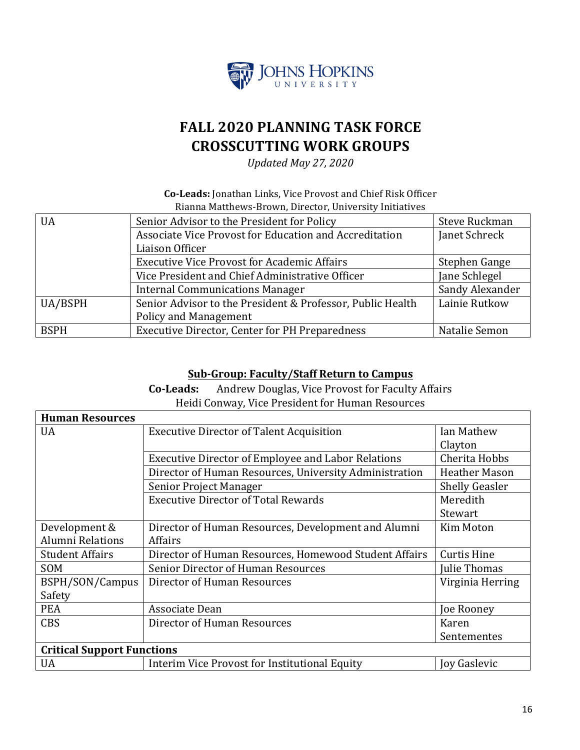

# **FALL 2020 PLANNING TASK FORCE CROSSCUTTING WORK GROUPS**

*Updated May 27, 2020*

#### **Co-Leads:** Jonathan Links, Vice Provost and Chief Risk Officer Rianna Matthews-Brown, Director, University Initiatives

| Senior Advisor to the President for Policy                 | Steve Ruckman   |  |  |
|------------------------------------------------------------|-----------------|--|--|
| Associate Vice Provost for Education and Accreditation     |                 |  |  |
| Liaison Officer                                            |                 |  |  |
| <b>Executive Vice Provost for Academic Affairs</b>         |                 |  |  |
| Vice President and Chief Administrative Officer            |                 |  |  |
| <b>Internal Communications Manager</b>                     | Sandy Alexander |  |  |
| Senior Advisor to the President & Professor, Public Health | Lainie Rutkow   |  |  |
| Policy and Management                                      |                 |  |  |
| <b>Executive Director, Center for PH Preparedness</b>      | Natalie Semon   |  |  |
|                                                            |                 |  |  |

#### **Sub-Group: Faculty/Staff Return to Campus**

**Co-Leads:** Andrew Douglas, Vice Provost for Faculty Affairs Heidi Conway, Vice President for Human Resources

| <b>Human Resources</b>            |                                                           |                       |  |
|-----------------------------------|-----------------------------------------------------------|-----------------------|--|
| <b>UA</b>                         | <b>Executive Director of Talent Acquisition</b>           | Ian Mathew            |  |
|                                   |                                                           | Clayton               |  |
|                                   | <b>Executive Director of Employee and Labor Relations</b> | Cherita Hobbs         |  |
|                                   | Director of Human Resources, University Administration    | <b>Heather Mason</b>  |  |
|                                   | Senior Project Manager                                    | <b>Shelly Geasler</b> |  |
|                                   | <b>Executive Director of Total Rewards</b>                | Meredith              |  |
|                                   |                                                           | Stewart               |  |
| Development &                     | Director of Human Resources, Development and Alumni       | Kim Moton             |  |
| <b>Alumni Relations</b>           | Affairs                                                   |                       |  |
| <b>Student Affairs</b>            | Director of Human Resources, Homewood Student Affairs     | <b>Curtis Hine</b>    |  |
| SOM                               | Senior Director of Human Resources                        | Julie Thomas          |  |
| BSPH/SON/Campus                   | Director of Human Resources                               | Virginia Herring      |  |
| Safety                            |                                                           |                       |  |
| <b>PEA</b>                        | Associate Dean                                            | Joe Rooney            |  |
| <b>CBS</b>                        | Director of Human Resources                               | Karen                 |  |
|                                   |                                                           | Sentementes           |  |
| <b>Critical Support Functions</b> |                                                           |                       |  |
| <b>UA</b>                         | Interim Vice Provost for Institutional Equity             | Joy Gaslevic          |  |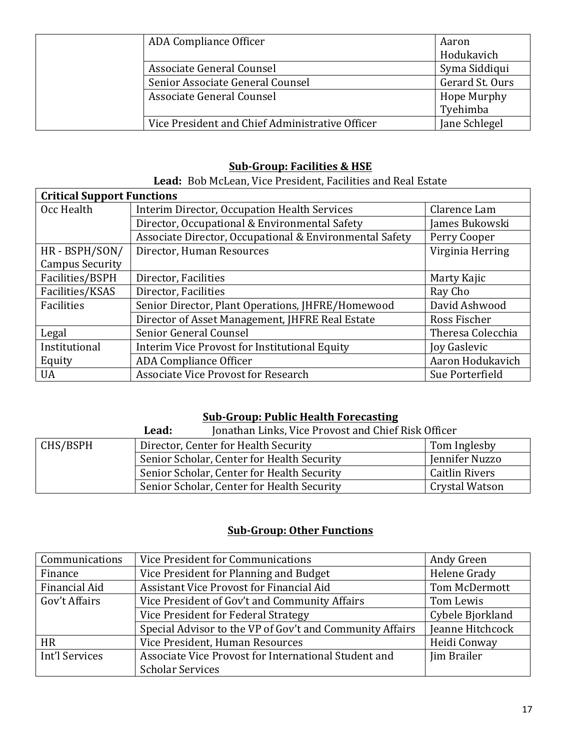| ADA Compliance Officer                          | Aaron              |
|-------------------------------------------------|--------------------|
|                                                 | Hodukavich         |
| Associate General Counsel                       | Syma Siddiqui      |
| Senior Associate General Counsel                | Gerard St. Ours    |
| Associate General Counsel                       | <b>Hope Murphy</b> |
|                                                 | Tyehimba           |
| Vice President and Chief Administrative Officer | Jane Schlegel      |

### **Sub-Group: Facilities & HSE**

Lead: Bob McLean, Vice President, Facilities and Real Estate

| <b>Critical Support Functions</b> |                                                         |                     |  |
|-----------------------------------|---------------------------------------------------------|---------------------|--|
| Occ Health                        | Interim Director, Occupation Health Services            | Clarence Lam        |  |
|                                   | Director, Occupational & Environmental Safety           | James Bukowski      |  |
|                                   | Associate Director, Occupational & Environmental Safety | Perry Cooper        |  |
| HR-BSPH/SON/                      | Director, Human Resources                               | Virginia Herring    |  |
| <b>Campus Security</b>            |                                                         |                     |  |
| Facilities/BSPH                   | Director, Facilities                                    | Marty Kajic         |  |
| Facilities/KSAS                   | Director, Facilities                                    | Ray Cho             |  |
| Facilities                        | Senior Director, Plant Operations, JHFRE/Homewood       | David Ashwood       |  |
|                                   | Director of Asset Management, JHFRE Real Estate         | Ross Fischer        |  |
| Legal                             | Senior General Counsel                                  | Theresa Colecchia   |  |
| Institutional                     | Interim Vice Provost for Institutional Equity           | <b>Joy Gaslevic</b> |  |
| Equity                            | <b>ADA Compliance Officer</b>                           | Aaron Hodukavich    |  |
| <b>UA</b>                         | <b>Associate Vice Provost for Research</b>              | Sue Porterfield     |  |

### **Sub-Group: Public Health Forecasting**

|          | Lead:                                | Jonathan Links, Vice Provost and Chief Risk Officer |                       |
|----------|--------------------------------------|-----------------------------------------------------|-----------------------|
| CHS/BSPH | Director, Center for Health Security |                                                     | Tom Inglesby          |
|          |                                      | Senior Scholar, Center for Health Security          | Jennifer Nuzzo        |
|          |                                      | Senior Scholar, Center for Health Security          | <b>Caitlin Rivers</b> |
|          |                                      | Senior Scholar, Center for Health Security          | Crystal Watson        |

## **<u>Sub-Group: Other Functions</u>**

| Communications | Vice President for Communications                        | Andy Green       |
|----------------|----------------------------------------------------------|------------------|
| Finance        | Vice President for Planning and Budget                   | Helene Grady     |
| Financial Aid  | Assistant Vice Provost for Financial Aid                 | Tom McDermott    |
| Gov't Affairs  | Vice President of Gov't and Community Affairs            | Tom Lewis        |
|                | Vice President for Federal Strategy                      | Cybele Bjorkland |
|                | Special Advisor to the VP of Gov't and Community Affairs | Jeanne Hitchcock |
| <b>HR</b>      | Vice President, Human Resources                          | Heidi Conway     |
| Int'l Services | Associate Vice Provost for International Student and     | Jim Brailer      |
|                | <b>Scholar Services</b>                                  |                  |